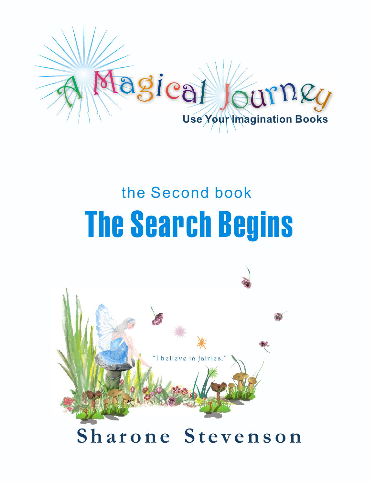

# **h e F i r s t b o o k** The Search Begins the Second book

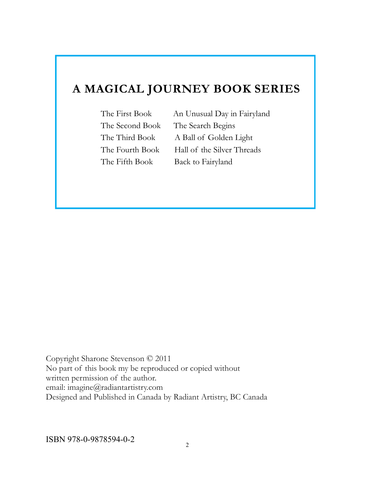#### **A MAGICAL JOURNEY BOOK SERIES**

The Second Book The Search Begins

The First Book An Unusual Day in Fairyland The Third Book A Ball of Golden Light The Fourth Book Hall of the Silver Threads The Fifth Book Back to Fairyland

Copyright Sharone Stevenson © 2011 No part of this book my be reproduced or copied without written permission of the author. email: imagine@radiantartistry.com Designed and Published in Canada by Radiant Artistry, BC Canada

ISBN 978-0-9878594-0-2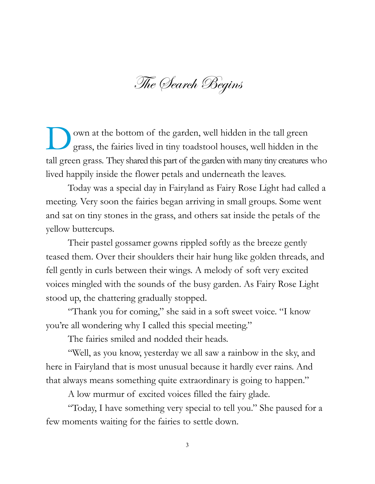The Search Begins

D own at the bottom of the garden, well hidden in the tall green grass, the fairies lived in tiny toadstool houses, well hidden in the tall green grass. They shared this part of the garden with many tiny creatures who lived happily inside the flower petals and underneath the leaves.

Today was a special day in Fairyland as Fairy Rose Light had called a meeting. Very soon the fairies began arriving in small groups. Some went and sat on tiny stones in the grass, and others sat inside the petals of the yellow buttercups.

Their pastel gossamer gowns rippled softly as the breeze gently teased them. Over their shoulders their hair hung like golden threads, and fell gently in curls between their wings. A melody of soft very excited voices mingled with the sounds of the busy garden. As Fairy Rose Light stood up, the chattering gradually stopped.

"Thank you for coming," she said in a soft sweet voice. "I know you're all wondering why I called this special meeting."

The fairies smiled and nodded their heads.

"Well, as you know, yesterday we all saw a rainbow in the sky, and here in Fairyland that is most unusual because it hardly ever rains. And that always means something quite extraordinary is going to happen."

A low murmur of excited voices filled the fairy glade.

"Today, I have something very special to tell you." She paused for a few moments waiting for the fairies to settle down.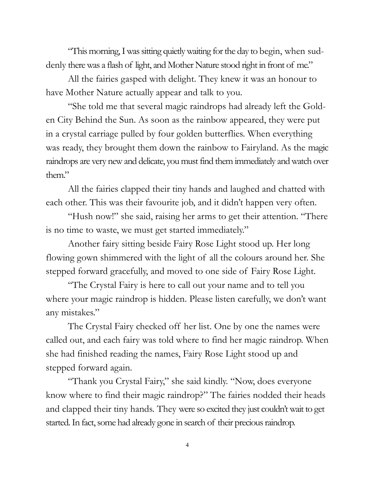"This morning, I was sitting quietly waiting for the day to begin, when suddenly there was a flash of light, and Mother Nature stood right in front of me."

All the fairies gasped with delight. They knew it was an honour to have Mother Nature actually appear and talk to you.

"She told me that several magic raindrops had already left the Golden City Behind the Sun. As soon as the rainbow appeared, they were put in a crystal carriage pulled by four golden butterflies. When everything was ready, they brought them down the rainbow to Fairyland. As the magic raindrops are very new and delicate, you must find them immediately and watch over them."

All the fairies clapped their tiny hands and laughed and chatted with each other. This was their favourite job, and it didn't happen very often.

"Hush now!" she said, raising her arms to get their attention. "There is no time to waste, we must get started immediately."

Another fairy sitting beside Fairy Rose Light stood up. Her long flowing gown shimmered with the light of all the colours around her. She stepped forward gracefully, and moved to one side of Fairy Rose Light.

"The Crystal Fairy is here to call out your name and to tell you where your magic raindrop is hidden. Please listen carefully, we don't want any mistakes."

The Crystal Fairy checked off her list. One by one the names were called out, and each fairy was told where to find her magic raindrop. When she had finished reading the names, Fairy Rose Light stood up and stepped forward again.

"Thank you Crystal Fairy," she said kindly. "Now, does everyone know where to find their magic raindrop?" The fairies nodded their heads and clapped their tiny hands. They were so excited they just couldn't wait to get started. In fact, some had already gone in search of their precious raindrop.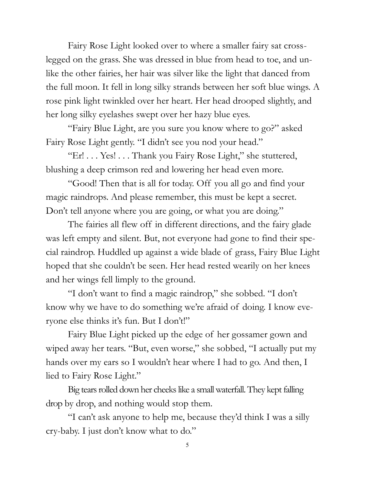Fairy Rose Light looked over to where a smaller fairy sat crosslegged on the grass. She was dressed in blue from head to toe, and unlike the other fairies, her hair was silver like the light that danced from the full moon. It fell in long silky strands between her soft blue wings. A rose pink light twinkled over her heart. Her head drooped slightly, and her long silky eyelashes swept over her hazy blue eyes.

"Fairy Blue Light, are you sure you know where to go?" asked Fairy Rose Light gently. "I didn't see you nod your head."

"Er! . . . Yes! . . . Thank you Fairy Rose Light," she stuttered, blushing a deep crimson red and lowering her head even more.

"Good! Then that is all for today. Off you all go and find your magic raindrops. And please remember, this must be kept a secret. Don't tell anyone where you are going, or what you are doing."

The fairies all flew off in different directions, and the fairy glade was left empty and silent. But, not everyone had gone to find their special raindrop. Huddled up against a wide blade of grass, Fairy Blue Light hoped that she couldn't be seen. Her head rested wearily on her knees and her wings fell limply to the ground.

"I don't want to find a magic raindrop," she sobbed. "I don't know why we have to do something we're afraid of doing. I know everyone else thinks it's fun. But I don't!"

Fairy Blue Light picked up the edge of her gossamer gown and wiped away her tears. "But, even worse," she sobbed, "I actually put my hands over my ears so I wouldn't hear where I had to go. And then, I lied to Fairy Rose Light."

Big tears rolled down her cheeks like a small waterfall. They kept falling drop by drop, and nothing would stop them.

"I can't ask anyone to help me, because they'd think I was a silly cry-baby. I just don't know what to do."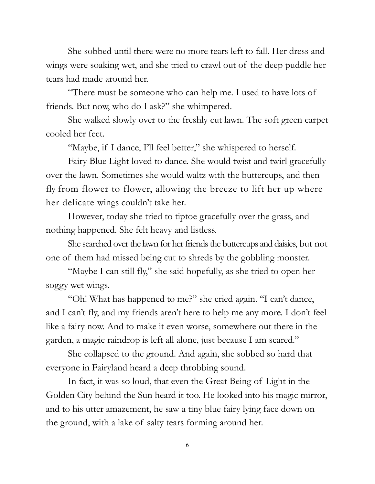She sobbed until there were no more tears left to fall. Her dress and wings were soaking wet, and she tried to crawl out of the deep puddle her tears had made around her.

"There must be someone who can help me. I used to have lots of friends. But now, who do I ask?" she whimpered.

She walked slowly over to the freshly cut lawn. The soft green carpet cooled her feet.

"Maybe, if I dance, I'll feel better," she whispered to herself.

Fairy Blue Light loved to dance. She would twist and twirl gracefully over the lawn. Sometimes she would waltz with the buttercups, and then fly from flower to flower, allowing the breeze to lift her up where her delicate wings couldn't take her.

However, today she tried to tiptoe gracefully over the grass, and nothing happened. She felt heavy and listless.

She searched over the lawn for her friends the buttercups and daisies, but not one of them had missed being cut to shreds by the gobbling monster.

"Maybe I can still fly," she said hopefully, as she tried to open her soggy wet wings.

"Oh! What has happened to me?" she cried again. "I can't dance, and I can't fly, and my friends aren't here to help me any more. I don't feel like a fairy now. And to make it even worse, somewhere out there in the garden, a magic raindrop is left all alone, just because I am scared."

She collapsed to the ground. And again, she sobbed so hard that everyone in Fairyland heard a deep throbbing sound.

In fact, it was so loud, that even the Great Being of Light in the Golden City behind the Sun heard it too. He looked into his magic mirror, and to his utter amazement, he saw a tiny blue fairy lying face down on the ground, with a lake of salty tears forming around her.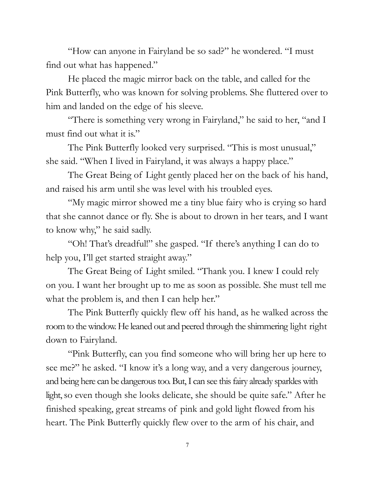"How can anyone in Fairyland be so sad?" he wondered. "I must find out what has happened."

He placed the magic mirror back on the table, and called for the Pink Butterfly, who was known for solving problems. She fluttered over to him and landed on the edge of his sleeve.

"There is something very wrong in Fairyland," he said to her, "and I must find out what it is."

The Pink Butterfly looked very surprised. "This is most unusual," she said. "When I lived in Fairyland, it was always a happy place."

The Great Being of Light gently placed her on the back of his hand, and raised his arm until she was level with his troubled eyes.

"My magic mirror showed me a tiny blue fairy who is crying so hard that she cannot dance or fly. She is about to drown in her tears, and I want to know why," he said sadly.

"Oh! That's dreadful!" she gasped. "If there's anything I can do to help you, I'll get started straight away."

The Great Being of Light smiled. "Thank you. I knew I could rely on you. I want her brought up to me as soon as possible. She must tell me what the problem is, and then I can help her."

The Pink Butterfly quickly flew off his hand, as he walked across the room to the window. He leaned out and peered through the shimmering light right down to Fairyland.

"Pink Butterfly, can you find someone who will bring her up here to see me?" he asked. "I know it's a long way, and a very dangerous journey, and being here can be dangerous too. But, I can see this fairy already sparkles with light, so even though she looks delicate, she should be quite safe." After he finished speaking, great streams of pink and gold light flowed from his heart. The Pink Butterfly quickly flew over to the arm of his chair, and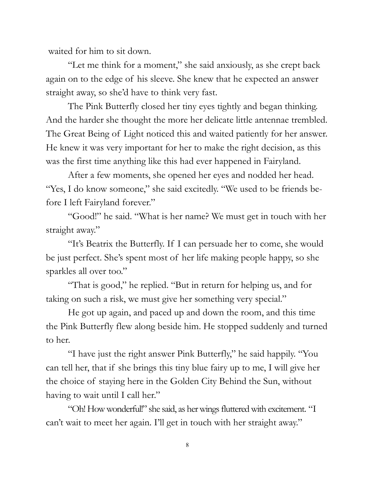waited for him to sit down.

"Let me think for a moment," she said anxiously, as she crept back again on to the edge of his sleeve. She knew that he expected an answer straight away, so she'd have to think very fast.

The Pink Butterfly closed her tiny eyes tightly and began thinking. And the harder she thought the more her delicate little antennae trembled. The Great Being of Light noticed this and waited patiently for her answer. He knew it was very important for her to make the right decision, as this was the first time anything like this had ever happened in Fairyland.

After a few moments, she opened her eyes and nodded her head. "Yes, I do know someone," she said excitedly. "We used to be friends before I left Fairyland forever."

"Good!" he said. "What is her name? We must get in touch with her straight away."

"It's Beatrix the Butterfly. If I can persuade her to come, she would be just perfect. She's spent most of her life making people happy, so she sparkles all over too."

"That is good," he replied. "But in return for helping us, and for taking on such a risk, we must give her something very special."

He got up again, and paced up and down the room, and this time the Pink Butterfly flew along beside him. He stopped suddenly and turned to her.

"I have just the right answer Pink Butterfly," he said happily. "You can tell her, that if she brings this tiny blue fairy up to me, I will give her the choice of staying here in the Golden City Behind the Sun, without having to wait until I call her."

"Oh! How wonderful!" she said, as her wings fluttered with excitement. "I can't wait to meet her again. I'll get in touch with her straight away."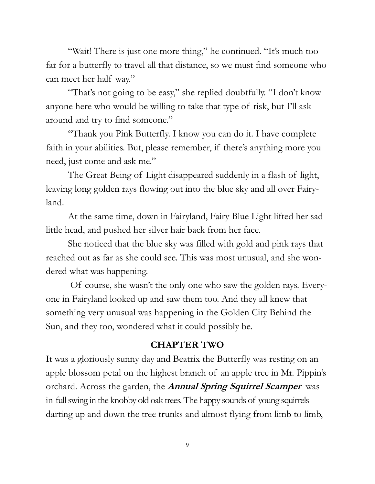"Wait! There is just one more thing," he continued. "It's much too far for a butterfly to travel all that distance, so we must find someone who can meet her half way."

"That's not going to be easy," she replied doubtfully. "I don't know anyone here who would be willing to take that type of risk, but I'll ask around and try to find someone."

"Thank you Pink Butterfly. I know you can do it. I have complete faith in your abilities. But, please remember, if there's anything more you need, just come and ask me."

The Great Being of Light disappeared suddenly in a flash of light, leaving long golden rays flowing out into the blue sky and all over Fairyland.

At the same time, down in Fairyland, Fairy Blue Light lifted her sad little head, and pushed her silver hair back from her face.

She noticed that the blue sky was filled with gold and pink rays that reached out as far as she could see. This was most unusual, and she wondered what was happening.

Of course, she wasn't the only one who saw the golden rays. Everyone in Fairyland looked up and saw them too. And they all knew that something very unusual was happening in the Golden City Behind the Sun, and they too, wondered what it could possibly be.

#### **CHAPTER TWO**

It was a gloriously sunny day and Beatrix the Butterfly was resting on an apple blossom petal on the highest branch of an apple tree in Mr. Pippin's orchard. Across the garden, the **Annual Spring Squirrel Scamper** was in full swing in the knobby old oak trees. The happy sounds of young squirrels darting up and down the tree trunks and almost flying from limb to limb,

9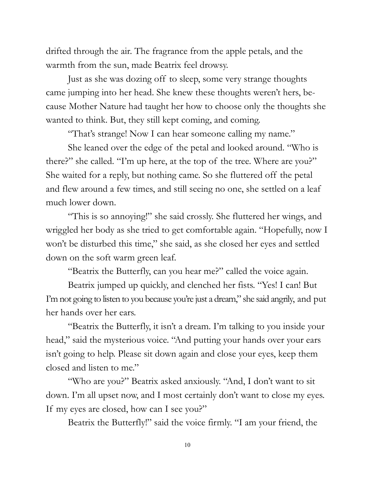drifted through the air. The fragrance from the apple petals, and the warmth from the sun, made Beatrix feel drowsy.

Just as she was dozing off to sleep, some very strange thoughts came jumping into her head. She knew these thoughts weren't hers, because Mother Nature had taught her how to choose only the thoughts she wanted to think. But, they still kept coming, and coming.

"That's strange! Now I can hear someone calling my name."

She leaned over the edge of the petal and looked around. "Who is there?" she called. "I'm up here, at the top of the tree. Where are you?" She waited for a reply, but nothing came. So she fluttered off the petal and flew around a few times, and still seeing no one, she settled on a leaf much lower down.

"This is so annoying!" she said crossly. She fluttered her wings, and wriggled her body as she tried to get comfortable again. "Hopefully, now I won't be disturbed this time," she said, as she closed her eyes and settled down on the soft warm green leaf.

"Beatrix the Butterfly, can you hear me?" called the voice again.

Beatrix jumped up quickly, and clenched her fists. "Yes! I can! But I'm not going to listen to you because you're just a dream," she said angrily, and put her hands over her ears.

"Beatrix the Butterfly, it isn't a dream. I'm talking to you inside your head," said the mysterious voice. "And putting your hands over your ears isn't going to help. Please sit down again and close your eyes, keep them closed and listen to me."

"Who are you?" Beatrix asked anxiously. "And, I don't want to sit down. I'm all upset now, and I most certainly don't want to close my eyes. If my eyes are closed, how can I see you?"

Beatrix the Butterfly!" said the voice firmly. "I am your friend, the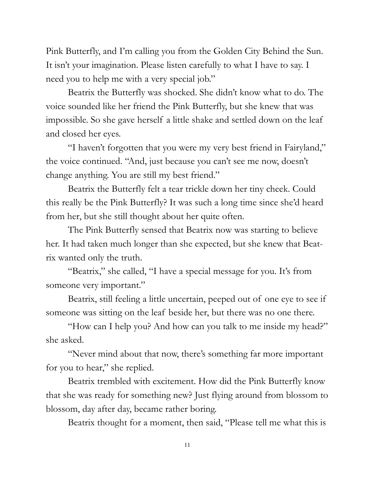Pink Butterfly, and I'm calling you from the Golden City Behind the Sun. It isn't your imagination. Please listen carefully to what I have to say. I need you to help me with a very special job."

Beatrix the Butterfly was shocked. She didn't know what to do. The voice sounded like her friend the Pink Butterfly, but she knew that was impossible. So she gave herself a little shake and settled down on the leaf and closed her eyes.

"I haven't forgotten that you were my very best friend in Fairyland," the voice continued. "And, just because you can't see me now, doesn't change anything. You are still my best friend."

Beatrix the Butterfly felt a tear trickle down her tiny cheek. Could this really be the Pink Butterfly? It was such a long time since she'd heard from her, but she still thought about her quite often.

The Pink Butterfly sensed that Beatrix now was starting to believe her. It had taken much longer than she expected, but she knew that Beatrix wanted only the truth.

"Beatrix," she called, "I have a special message for you. It's from someone very important."

Beatrix, still feeling a little uncertain, peeped out of one eye to see if someone was sitting on the leaf beside her, but there was no one there.

"How can I help you? And how can you talk to me inside my head?" she asked.

"Never mind about that now, there's something far more important for you to hear," she replied.

Beatrix trembled with excitement. How did the Pink Butterfly know that she was ready for something new? Just flying around from blossom to blossom, day after day, became rather boring.

Beatrix thought for a moment, then said, "Please tell me what this is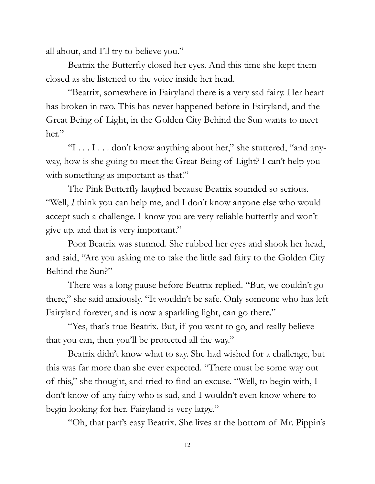all about, and I'll try to believe you."

Beatrix the Butterfly closed her eyes. And this time she kept them closed as she listened to the voice inside her head.

"Beatrix, somewhere in Fairyland there is a very sad fairy. Her heart has broken in two. This has never happened before in Fairyland, and the Great Being of Light, in the Golden City Behind the Sun wants to meet her."

"I . . . I . . . don't know anything about her," she stuttered, "and anyway, how is she going to meet the Great Being of Light? I can't help you with something as important as that!"

The Pink Butterfly laughed because Beatrix sounded so serious. "Well, *I* think you can help me, and I don't know anyone else who would accept such a challenge. I know you are very reliable butterfly and won't give up, and that is very important."

Poor Beatrix was stunned. She rubbed her eyes and shook her head, and said, "Are you asking me to take the little sad fairy to the Golden City Behind the Sun?"

There was a long pause before Beatrix replied. "But, we couldn't go there," she said anxiously. "It wouldn't be safe. Only someone who has left Fairyland forever, and is now a sparkling light, can go there."

"Yes, that's true Beatrix. But, if you want to go, and really believe that you can, then you'll be protected all the way."

Beatrix didn't know what to say. She had wished for a challenge, but this was far more than she ever expected. "There must be some way out of this," she thought, and tried to find an excuse. "Well, to begin with, I don't know of any fairy who is sad, and I wouldn't even know where to begin looking for her. Fairyland is very large."

"Oh, that part's easy Beatrix. She lives at the bottom of Mr. Pippin's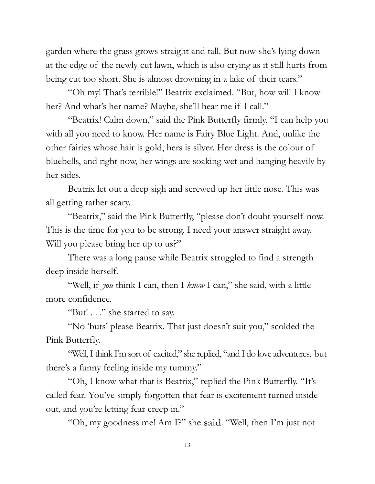garden where the grass grows straight and tall. But now she's lying down at the edge of the newly cut lawn, which is also crying as it still hurts from being cut too short. She is almost drowning in a lake of their tears."

"Oh my! That's terrible!" Beatrix exclaimed. "But, how will I know her? And what's her name? Maybe, she'll hear me if I call."

"Beatrix! Calm down," said the Pink Butterfly firmly. "I can help you with all you need to know. Her name is Fairy Blue Light. And, unlike the other fairies whose hair is gold, hers is silver. Her dress is the colour of bluebells, and right now, her wings are soaking wet and hanging heavily by her sides.

Beatrix let out a deep sigh and screwed up her little nose. This was all getting rather scary.

"Beatrix," said the Pink Butterfly, "please don't doubt yourself now. This is the time for you to be strong. I need your answer straight away. Will you please bring her up to us?"

There was a long pause while Beatrix struggled to find a strength deep inside herself.

"Well, if *you* think I can, then I *know* I can," she said, with a little more confidence.

"But! . . ." she started to say.

"No 'buts' please Beatrix. That just doesn't suit you," scolded the Pink Butterfly.

"Well, I think I'm sort of excited," she replied, "and I do love adventures, but there's a funny feeling inside my tummy."

"Oh, I know what that is Beatrix," replied the Pink Butterfly. "It's called fear. You've simply forgotten that fear is excitement turned inside out, and you're letting fear creep in."

"Oh, my goodness me! Am I?" she said. "Well, then I'm just not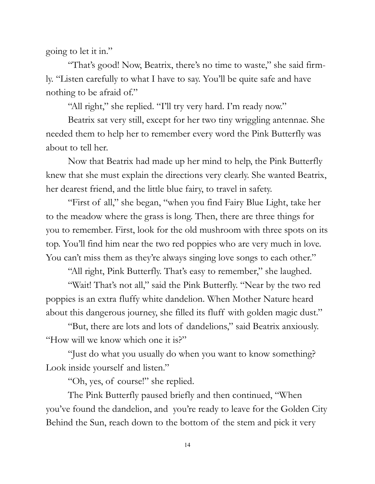going to let it in."

"That's good! Now, Beatrix, there's no time to waste," she said firmly. "Listen carefully to what I have to say. You'll be quite safe and have nothing to be afraid of."

"All right," she replied. "I'll try very hard. I'm ready now."

Beatrix sat very still, except for her two tiny wriggling antennae. She needed them to help her to remember every word the Pink Butterfly was about to tell her.

Now that Beatrix had made up her mind to help, the Pink Butterfly knew that she must explain the directions very clearly. She wanted Beatrix, her dearest friend, and the little blue fairy, to travel in safety.

"First of all," she began, "when you find Fairy Blue Light, take her to the meadow where the grass is long. Then, there are three things for you to remember. First, look for the old mushroom with three spots on its top. You'll find him near the two red poppies who are very much in love. You can't miss them as they're always singing love songs to each other."

"All right, Pink Butterfly. That's easy to remember," she laughed.

"Wait! That's not all," said the Pink Butterfly. "Near by the two red poppies is an extra fluffy white dandelion. When Mother Nature heard about this dangerous journey, she filled its fluff with golden magic dust."

"But, there are lots and lots of dandelions," said Beatrix anxiously. "How will we know which one it is?"

"Just do what you usually do when you want to know something? Look inside yourself and listen."

"Oh, yes, of course!" she replied.

The Pink Butterfly paused briefly and then continued, "When you've found the dandelion, and you're ready to leave for the Golden City Behind the Sun, reach down to the bottom of the stem and pick it very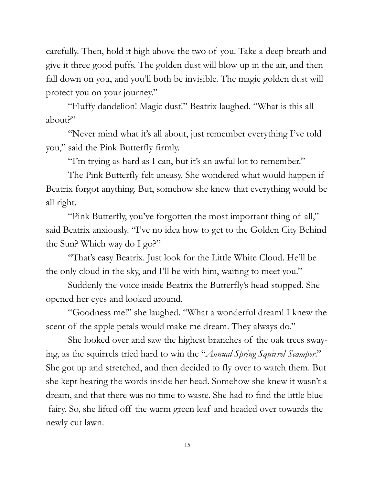carefully. Then, hold it high above the two of you. Take a deep breath and give it three good puffs. The golden dust will blow up in the air, and then fall down on you, and you'll both be invisible. The magic golden dust will protect you on your journey."

"Fluffy dandelion! Magic dust!" Beatrix laughed. "What is this all about?"

"Never mind what it's all about, just remember everything I've told you," said the Pink Butterfly firmly.

"I'm trying as hard as I can, but it's an awful lot to remember."

The Pink Butterfly felt uneasy. She wondered what would happen if Beatrix forgot anything. But, somehow she knew that everything would be all right.

"Pink Butterfly, you've forgotten the most important thing of all," said Beatrix anxiously. "I've no idea how to get to the Golden City Behind the Sun? Which way do I go?"

"That's easy Beatrix. Just look for the Little White Cloud. He'll be the only cloud in the sky, and I'll be with him, waiting to meet you."

Suddenly the voice inside Beatrix the Butterfly's head stopped. She opened her eyes and looked around.

"Goodness me!" she laughed. "What a wonderful dream! I knew the scent of the apple petals would make me dream. They always do."

She looked over and saw the highest branches of the oak trees swaying, as the squirrels tried hard to win the "*Annual Spring Squirrel Scamper*." She got up and stretched, and then decided to fly over to watch them. But she kept hearing the words inside her head. Somehow she knew it wasn't a dream, and that there was no time to waste. She had to find the little blue fairy. So, she lifted off the warm green leaf and headed over towards the newly cut lawn.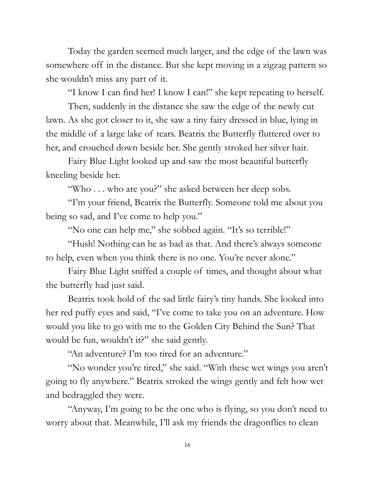Today the garden seemed much larger, and the edge of the lawn was somewhere off in the distance. But she kept moving in a zigzag pattern so she wouldn't miss any part of it.

"I know I can find her! I know I can!" she kept repeating to herself.

Then, suddenly in the distance she saw the edge of the newly cut lawn. As she got closer to it, she saw a tiny fairy dressed in blue, lying in the middle of a large lake of tears. Beatrix the Butterfly fluttered over to her, and crouched down beside her. She gently stroked her silver hair.

Fairy Blue Light looked up and saw the most beautiful butterfly kneeling beside her.

"Who . . . who are you?" she asked between her deep sobs.

"I'm your friend, Beatrix the Butterfly. Someone told me about you being so sad, and I've come to help you."

"No one can help me," she sobbed again. "It's so terrible!"

"Hush! Nothing can be as bad as that. And there's always someone to help, even when you think there is no one. You're never alone."

Fairy Blue Light sniffed a couple of times, and thought about what the butterfly had just said.

Beatrix took hold of the sad little fairy's tiny hands. She looked into her red puffy eyes and said, "I've come to take you on an adventure. How would you like to go with me to the Golden City Behind the Sun? That would be fun, wouldn't it?" she said gently.

"An adventure? I'm too tired for an adventure."

"No wonder you're tired," she said. "With these wet wings you aren't going to fly anywhere." Beatrix stroked the wings gently and felt how wet and bedraggled they were.

"Anyway, I'm going to be the one who is flying, so you don't need to worry about that. Meanwhile, I'll ask my friends the dragonflies to clean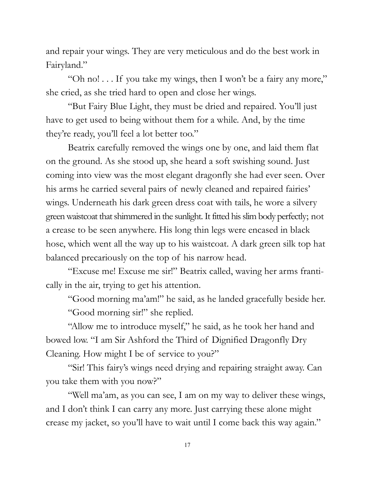and repair your wings. They are very meticulous and do the best work in Fairyland."

"Oh no! . . . If you take my wings, then I won't be a fairy any more," she cried, as she tried hard to open and close her wings.

"But Fairy Blue Light, they must be dried and repaired. You'll just have to get used to being without them for a while. And, by the time they're ready, you'll feel a lot better too."

Beatrix carefully removed the wings one by one, and laid them flat on the ground. As she stood up, she heard a soft swishing sound. Just coming into view was the most elegant dragonfly she had ever seen. Over his arms he carried several pairs of newly cleaned and repaired fairies' wings. Underneath his dark green dress coat with tails, he wore a silvery green waistcoat that shimmered in the sunlight. It fitted his slim body perfectly; not a crease to be seen anywhere. His long thin legs were encased in black hose, which went all the way up to his waistcoat. A dark green silk top hat balanced precariously on the top of his narrow head.

"Excuse me! Excuse me sir!" Beatrix called, waving her arms frantically in the air, trying to get his attention.

"Good morning ma'am!" he said, as he landed gracefully beside her. "Good morning sir!" she replied.

"Allow me to introduce myself," he said, as he took her hand and bowed low. "I am Sir Ashford the Third of Dignified Dragonfly Dry Cleaning. How might I be of service to you?"

"Sir! This fairy's wings need drying and repairing straight away. Can you take them with you now?"

"Well ma'am, as you can see, I am on my way to deliver these wings, and I don't think I can carry any more. Just carrying these alone might crease my jacket, so you'll have to wait until I come back this way again."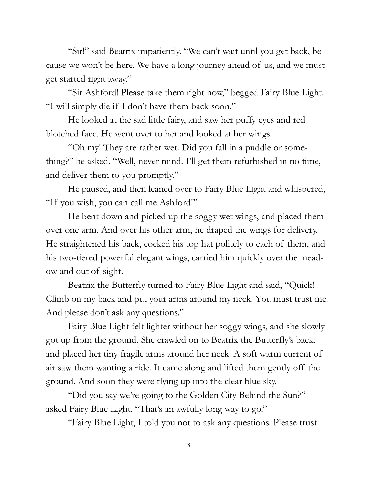"Sir!" said Beatrix impatiently. "We can't wait until you get back, because we won't be here. We have a long journey ahead of us, and we must get started right away."

"Sir Ashford! Please take them right now," begged Fairy Blue Light. "I will simply die if I don't have them back soon."

He looked at the sad little fairy, and saw her puffy eyes and red blotched face. He went over to her and looked at her wings.

"Oh my! They are rather wet. Did you fall in a puddle or something?" he asked. "Well, never mind. I'll get them refurbished in no time, and deliver them to you promptly."

He paused, and then leaned over to Fairy Blue Light and whispered, "If you wish, you can call me Ashford!"

He bent down and picked up the soggy wet wings, and placed them over one arm. And over his other arm, he draped the wings for delivery. He straightened his back, cocked his top hat politely to each of them, and his two-tiered powerful elegant wings, carried him quickly over the meadow and out of sight.

Beatrix the Butterfly turned to Fairy Blue Light and said, "Quick! Climb on my back and put your arms around my neck. You must trust me. And please don't ask any questions."

Fairy Blue Light felt lighter without her soggy wings, and she slowly got up from the ground. She crawled on to Beatrix the Butterfly's back, and placed her tiny fragile arms around her neck. A soft warm current of air saw them wanting a ride. It came along and lifted them gently off the ground. And soon they were flying up into the clear blue sky.

"Did you say we're going to the Golden City Behind the Sun?" asked Fairy Blue Light. "That's an awfully long way to go."

"Fairy Blue Light, I told you not to ask any questions. Please trust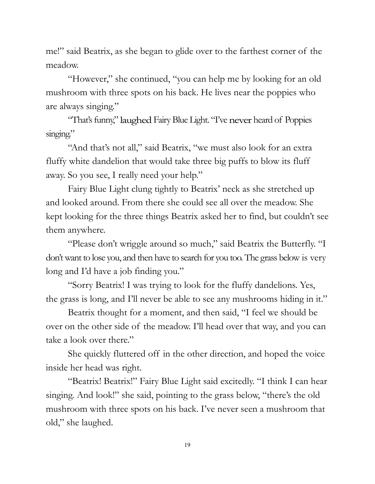me!" said Beatrix, as she began to glide over to the farthest corner of the meadow.

"However," she continued, "you can help me by looking for an old mushroom with three spots on his back. He lives near the poppies who are always singing."

"That's funny," laughed Fairy Blue Light. "I've never heard of Poppies singing."

"And that's not all," said Beatrix, "we must also look for an extra fluffy white dandelion that would take three big puffs to blow its fluff away. So you see, I really need your help."

Fairy Blue Light clung tightly to Beatrix' neck as she stretched up and looked around. From there she could see all over the meadow. She kept looking for the three things Beatrix asked her to find, but couldn't see them anywhere.

"Please don't wriggle around so much," said Beatrix the Butterfly. "I don't want to lose you, and then have to search for you too. The grass below is very long and I'd have a job finding you."

"Sorry Beatrix! I was trying to look for the fluffy dandelions. Yes, the grass is long, and I'll never be able to see any mushrooms hiding in it."

Beatrix thought for a moment, and then said, "I feel we should be over on the other side of the meadow. I'll head over that way, and you can take a look over there."

She quickly fluttered off in the other direction, and hoped the voice inside her head was right.

"Beatrix! Beatrix!" Fairy Blue Light said excitedly. "I think I can hear singing. And look!" she said, pointing to the grass below, "there's the old mushroom with three spots on his back. I've never seen a mushroom that old," she laughed.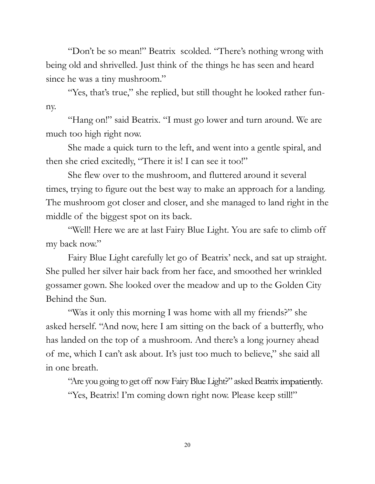"Don't be so mean!" Beatrix scolded. "There's nothing wrong with being old and shrivelled. Just think of the things he has seen and heard since he was a tiny mushroom."

"Yes, that's true," she replied, but still thought he looked rather funny.

"Hang on!" said Beatrix. "I must go lower and turn around. We are much too high right now.

She made a quick turn to the left, and went into a gentle spiral, and then she cried excitedly, "There it is! I can see it too!"

She flew over to the mushroom, and fluttered around it several times, trying to figure out the best way to make an approach for a landing. The mushroom got closer and closer, and she managed to land right in the middle of the biggest spot on its back.

"Well! Here we are at last Fairy Blue Light. You are safe to climb off my back now."

Fairy Blue Light carefully let go of Beatrix' neck, and sat up straight. She pulled her silver hair back from her face, and smoothed her wrinkled gossamer gown. She looked over the meadow and up to the Golden City Behind the Sun.

"Was it only this morning I was home with all my friends?" she asked herself. "And now, here I am sitting on the back of a butterfly, who has landed on the top of a mushroom. And there's a long journey ahead of me, which I can't ask about. It's just too much to believe," she said all in one breath.

"Are you going to get off now Fairy Blue Light?" asked Beatrix impatiently.

"Yes, Beatrix! I'm coming down right now. Please keep still!"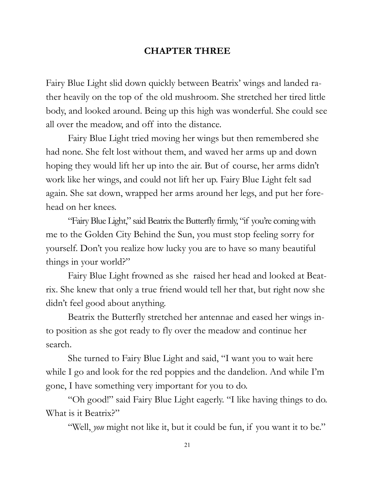#### **CHAPTER THREE**

Fairy Blue Light slid down quickly between Beatrix' wings and landed rather heavily on the top of the old mushroom. She stretched her tired little body, and looked around. Being up this high was wonderful. She could see all over the meadow, and off into the distance.

Fairy Blue Light tried moving her wings but then remembered she had none. She felt lost without them, and waved her arms up and down hoping they would lift her up into the air. But of course, her arms didn't work like her wings, and could not lift her up. Fairy Blue Light felt sad again. She sat down, wrapped her arms around her legs, and put her forehead on her knees.

"Fairy Blue Light," said Beatrix the Butterfly firmly, "if you're coming with me to the Golden City Behind the Sun, you must stop feeling sorry for yourself. Don't you realize how lucky you are to have so many beautiful things in your world?"

Fairy Blue Light frowned as she raised her head and looked at Beatrix. She knew that only a true friend would tell her that, but right now she didn't feel good about anything.

Beatrix the Butterfly stretched her antennae and eased her wings into position as she got ready to fly over the meadow and continue her search.

She turned to Fairy Blue Light and said, "I want you to wait here while I go and look for the red poppies and the dandelion. And while I'm gone, I have something very important for you to do.

"Oh good!" said Fairy Blue Light eagerly. "I like having things to do. What is it Beatrix?"

"Well, *you* might not like it, but it could be fun, if you want it to be."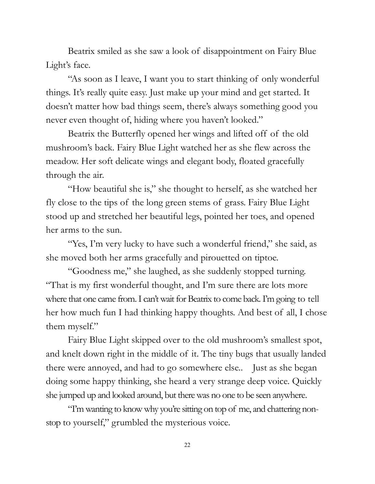Beatrix smiled as she saw a look of disappointment on Fairy Blue Light's face.

"As soon as I leave, I want you to start thinking of only wonderful things. It's really quite easy. Just make up your mind and get started. It doesn't matter how bad things seem, there's always something good you never even thought of, hiding where you haven't looked."

Beatrix the Butterfly opened her wings and lifted off of the old mushroom's back. Fairy Blue Light watched her as she flew across the meadow. Her soft delicate wings and elegant body, floated gracefully through the air.

"How beautiful she is," she thought to herself, as she watched her fly close to the tips of the long green stems of grass. Fairy Blue Light stood up and stretched her beautiful legs, pointed her toes, and opened her arms to the sun.

"Yes, I'm very lucky to have such a wonderful friend," she said, as she moved both her arms gracefully and pirouetted on tiptoe.

"Goodness me," she laughed, as she suddenly stopped turning. "That is my first wonderful thought, and I'm sure there are lots more where that one came from. I can't wait for Beatrix to come back. I'm going to tell her how much fun I had thinking happy thoughts. And best of all, I chose them myself."

Fairy Blue Light skipped over to the old mushroom's smallest spot, and knelt down right in the middle of it. The tiny bugs that usually landed there were annoyed, and had to go somewhere else.. Just as she began doing some happy thinking, she heard a very strange deep voice. Quickly she jumped up and looked around, but there was no one to be seen anywhere.

"I'm wanting to know why you're sitting on top of me, and chattering nonstop to yourself," grumbled the mysterious voice.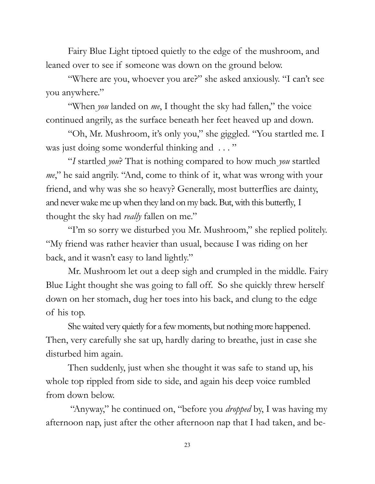Fairy Blue Light tiptoed quietly to the edge of the mushroom, and leaned over to see if someone was down on the ground below.

"Where are you, whoever you are?" she asked anxiously. "I can't see you anywhere."

"When *you* landed on *me*, I thought the sky had fallen," the voice continued angrily, as the surface beneath her feet heaved up and down.

"Oh, Mr. Mushroom, it's only you," she giggled. "You startled me. I was just doing some wonderful thinking and ..."

"*I* startled *you*? That is nothing compared to how much *you* startled *me*," he said angrily. "And, come to think of it, what was wrong with your friend, and why was she so heavy? Generally, most butterflies are dainty, and never wake me up when they land on my back. But, with this butterfly, I thought the sky had *really* fallen on me."

"I'm so sorry we disturbed you Mr. Mushroom," she replied politely. "My friend was rather heavier than usual, because I was riding on her back, and it wasn't easy to land lightly."

Mr. Mushroom let out a deep sigh and crumpled in the middle. Fairy Blue Light thought she was going to fall off. So she quickly threw herself down on her stomach, dug her toes into his back, and clung to the edge of his top.

She waited very quietly for a few moments, but nothing more happened. Then, very carefully she sat up, hardly daring to breathe, just in case she disturbed him again.

Then suddenly, just when she thought it was safe to stand up, his whole top rippled from side to side, and again his deep voice rumbled from down below.

"Anyway," he continued on, "before you *dropped* by, I was having my afternoon nap, just after the other afternoon nap that I had taken, and be-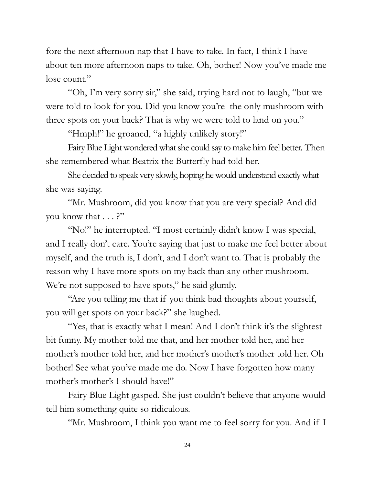fore the next afternoon nap that I have to take. In fact, I think I have about ten more afternoon naps to take. Oh, bother! Now you've made me lose count."

"Oh, I'm very sorry sir," she said, trying hard not to laugh, "but we were told to look for you. Did you know you're the only mushroom with three spots on your back? That is why we were told to land on you."

"Hmph!" he groaned, "a highly unlikely story!"

Fairy Blue Light wondered what she could say to make him feel better. Then she remembered what Beatrix the Butterfly had told her.

She decided to speak very slowly, hoping he would understand exactly what she was saying.

"Mr. Mushroom, did you know that you are very special? And did you know that . . . ?"

"No!" he interrupted. "I most certainly didn't know I was special, and I really don't care. You're saying that just to make me feel better about myself, and the truth is, I don't, and I don't want to. That is probably the reason why I have more spots on my back than any other mushroom. We're not supposed to have spots," he said glumly.

"Are you telling me that if you think bad thoughts about yourself, you will get spots on your back?" she laughed.

"Yes, that is exactly what I mean! And I don't think it's the slightest bit funny. My mother told me that, and her mother told her, and her mother's mother told her, and her mother's mother's mother told her. Oh bother! See what you've made me do. Now I have forgotten how many mother's mother's I should have!"

Fairy Blue Light gasped. She just couldn't believe that anyone would tell him something quite so ridiculous.

"Mr. Mushroom, I think you want me to feel sorry for you. And if I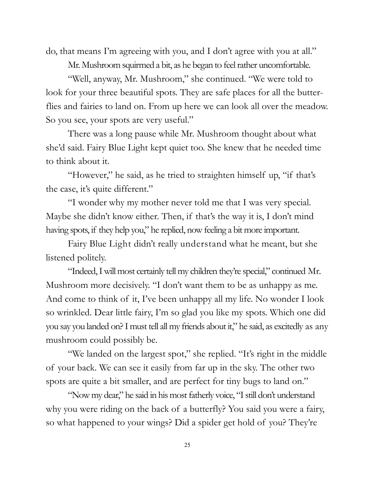do, that means I'm agreeing with you, and I don't agree with you at all."

Mr. Mushroom squirmed a bit, as he began to feel rather uncomfortable.

"Well, anyway, Mr. Mushroom," she continued. "We were told to look for your three beautiful spots. They are safe places for all the butterflies and fairies to land on. From up here we can look all over the meadow. So you see, your spots are very useful."

There was a long pause while Mr. Mushroom thought about what she'd said. Fairy Blue Light kept quiet too. She knew that he needed time to think about it.

"However," he said, as he tried to straighten himself up, "if that's the case, it's quite different."

"I wonder why my mother never told me that I was very special. Maybe she didn't know either. Then, if that's the way it is, I don't mind having spots, if they help you," he replied, now feeling a bit more important.

Fairy Blue Light didn't really understand what he meant, but she listened politely.

"Indeed, I will most certainly tell my children they're special," continued Mr. Mushroom more decisively. "I don't want them to be as unhappy as me. And come to think of it, I've been unhappy all my life. No wonder I look so wrinkled. Dear little fairy, I'm so glad you like my spots. Which one did you say you landed on? I must tell all my friends about it," he said, as excitedly as any mushroom could possibly be.

"We landed on the largest spot," she replied. "It's right in the middle of your back. We can see it easily from far up in the sky. The other two spots are quite a bit smaller, and are perfect for tiny bugs to land on."

"Now my dear," he said in his most fatherly voice, "I still don't understand why you were riding on the back of a butterfly? You said you were a fairy, so what happened to your wings? Did a spider get hold of you? They're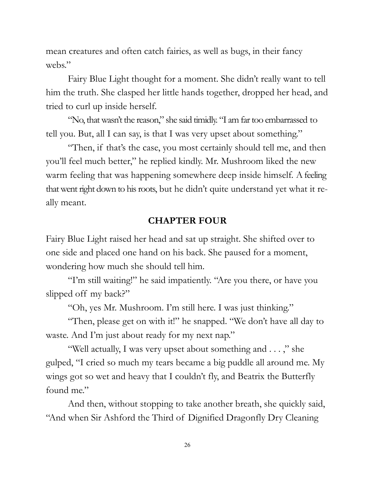mean creatures and often catch fairies, as well as bugs, in their fancy webs."

Fairy Blue Light thought for a moment. She didn't really want to tell him the truth. She clasped her little hands together, dropped her head, and tried to curl up inside herself.

"No, that wasn't the reason," she said timidly. "I am far too embarrassed to tell you. But, all I can say, is that I was very upset about something."

"Then, if that's the case, you most certainly should tell me, and then you'll feel much better," he replied kindly. Mr. Mushroom liked the new warm feeling that was happening somewhere deep inside himself. A feeling that went right down to his roots, but he didn't quite understand yet what it really meant.

#### **CHAPTER FOUR**

Fairy Blue Light raised her head and sat up straight. She shifted over to one side and placed one hand on his back. She paused for a moment, wondering how much she should tell him.

"I'm still waiting!" he said impatiently. "Are you there, or have you slipped off my back?"

"Oh, yes Mr. Mushroom. I'm still here. I was just thinking."

"Then, please get on with it!" he snapped. "We don't have all day to waste. And I'm just about ready for my next nap."

"Well actually, I was very upset about something and . . . ," she gulped, "I cried so much my tears became a big puddle all around me. My wings got so wet and heavy that I couldn't fly, and Beatrix the Butterfly found me."

And then, without stopping to take another breath, she quickly said, "And when Sir Ashford the Third of Dignified Dragonfly Dry Cleaning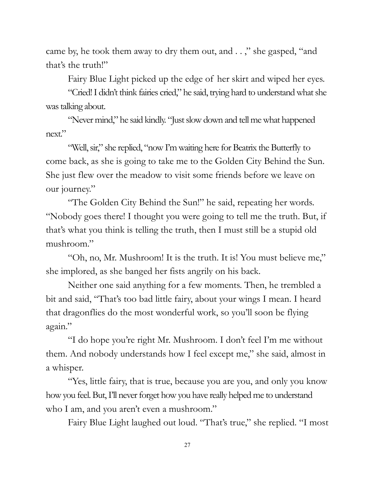came by, he took them away to dry them out, and . . ," she gasped, "and that's the truth!"

Fairy Blue Light picked up the edge of her skirt and wiped her eyes.

"Cried! I didn't think fairies cried," he said, trying hard to understand what she was talking about.

"Never mind," he said kindly. "Just slow down and tell me what happened next."

"Well, sir," she replied, "now I'm waiting here for Beatrix the Butterfly to come back, as she is going to take me to the Golden City Behind the Sun. She just flew over the meadow to visit some friends before we leave on our journey."

"The Golden City Behind the Sun!" he said, repeating her words. "Nobody goes there! I thought you were going to tell me the truth. But, if that's what you think is telling the truth, then I must still be a stupid old mushroom."

"Oh, no, Mr. Mushroom! It is the truth. It is! You must believe me," she implored, as she banged her fists angrily on his back.

Neither one said anything for a few moments. Then, he trembled a bit and said, "That's too bad little fairy, about your wings I mean. I heard that dragonflies do the most wonderful work, so you'll soon be flying again."

"I do hope you're right Mr. Mushroom. I don't feel I'm me without them. And nobody understands how I feel except me," she said, almost in a whisper.

"Yes, little fairy, that is true, because you are you, and only you know how you feel. But, I'll never forget how you have really helped me to understand who I am, and you aren't even a mushroom."

Fairy Blue Light laughed out loud. "That's true," she replied. "I most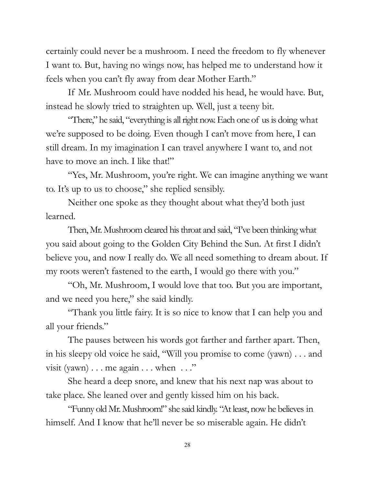certainly could never be a mushroom. I need the freedom to fly whenever I want to. But, having no wings now, has helped me to understand how it feels when you can't fly away from dear Mother Earth."

If Mr. Mushroom could have nodded his head, he would have. But, instead he slowly tried to straighten up. Well, just a teeny bit.

"There," he said, "everything is all right now. Each one of us is doing what we're supposed to be doing. Even though I can't move from here, I can still dream. In my imagination I can travel anywhere I want to, and not have to move an inch. I like that!"

"Yes, Mr. Mushroom, you're right. We can imagine anything we want to. It's up to us to choose," she replied sensibly.

Neither one spoke as they thought about what they'd both just learned.

Then, Mr. Mushroom cleared his throat and said, "I've been thinking what you said about going to the Golden City Behind the Sun. At first I didn't believe you, and now I really do. We all need something to dream about. If my roots weren't fastened to the earth, I would go there with you."

"Oh, Mr. Mushroom, I would love that too. But you are important, and we need you here," she said kindly.

"Thank you little fairy. It is so nice to know that I can help you and all your friends."

The pauses between his words got farther and farther apart. Then, in his sleepy old voice he said, "Will you promise to come (yawn) . . . and visit (yawn)  $\dots$  me again  $\dots$  when  $\dots$ "

She heard a deep snore, and knew that his next nap was about to take place. She leaned over and gently kissed him on his back.

"Funny old Mr. Mushroom!" she said kindly. "At least, now he believes in himself. And I know that he'll never be so miserable again. He didn't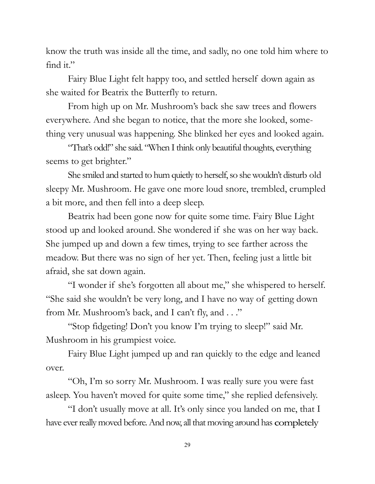know the truth was inside all the time, and sadly, no one told him where to find it."

Fairy Blue Light felt happy too, and settled herself down again as she waited for Beatrix the Butterfly to return.

From high up on Mr. Mushroom's back she saw trees and flowers everywhere. And she began to notice, that the more she looked, something very unusual was happening. She blinked her eyes and looked again.

"That's odd!" she said. "When I think only beautiful thoughts, everything seems to get brighter."

She smiled and started to hum quietly to herself, so she wouldn't disturb old sleepy Mr. Mushroom. He gave one more loud snore, trembled, crumpled a bit more, and then fell into a deep sleep.

Beatrix had been gone now for quite some time. Fairy Blue Light stood up and looked around. She wondered if she was on her way back. She jumped up and down a few times, trying to see farther across the meadow. But there was no sign of her yet. Then, feeling just a little bit afraid, she sat down again.

"I wonder if she's forgotten all about me," she whispered to herself. "She said she wouldn't be very long, and I have no way of getting down from Mr. Mushroom's back, and I can't fly, and . . ."

"Stop fidgeting! Don't you know I'm trying to sleep!" said Mr. Mushroom in his grumpiest voice.

Fairy Blue Light jumped up and ran quickly to the edge and leaned over.

"Oh, I'm so sorry Mr. Mushroom. I was really sure you were fast asleep. You haven't moved for quite some time," she replied defensively.

"I don't usually move at all. It's only since you landed on me, that I have ever really moved before. And now, all that moving around has completely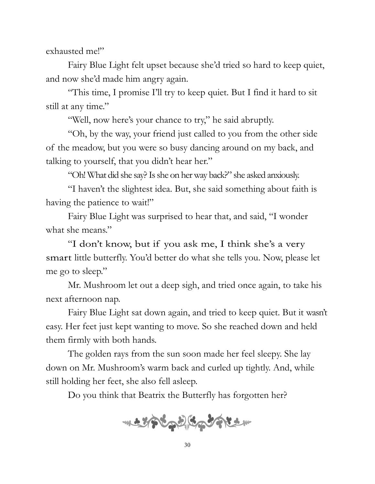exhausted me!"

Fairy Blue Light felt upset because she'd tried so hard to keep quiet, and now she'd made him angry again.

"This time, I promise I'll try to keep quiet. But I find it hard to sit still at any time."

"Well, now here's your chance to try," he said abruptly.

"Oh, by the way, your friend just called to you from the other side of the meadow, but you were so busy dancing around on my back, and talking to yourself, that you didn't hear her."

"Oh! What did she say? Is she on her way back?" she asked anxiously.

"I haven't the slightest idea. But, she said something about faith is having the patience to wait!"

Fairy Blue Light was surprised to hear that, and said, "I wonder what she means."

"I don't know, but if you ask me, I think she's a very smart little butterfly. You'd better do what she tells you. Now, please let me go to sleep."

Mr. Mushroom let out a deep sigh, and tried once again, to take his next afternoon nap.

Fairy Blue Light sat down again, and tried to keep quiet. But it wasn't easy. Her feet just kept wanting to move. So she reached down and held them firmly with both hands.

The golden rays from the sun soon made her feel sleepy. She lay down on Mr. Mushroom's warm back and curled up tightly. And, while still holding her feet, she also fell asleep.

Do you think that Beatrix the Butterfly has forgotten her?

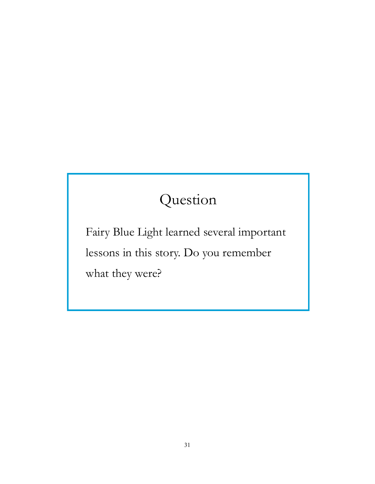## Question

Fairy Blue Light learned several important lessons in this story. Do you remember what they were?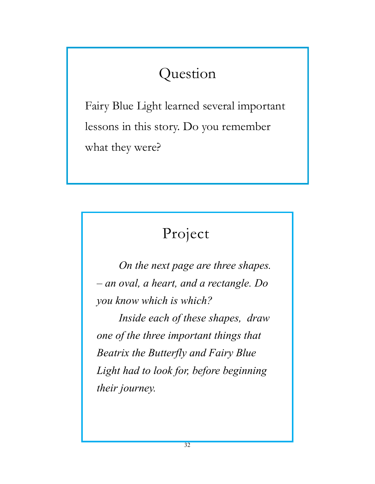## Question

Fairy Blue Light learned several important lessons in this story. Do you remember what they were?

### Project

*On the next page are three shapes. – an oval, a heart, and a rectangle. Do you know which is which?*

*Inside each of these shapes, draw one of the three important things that Beatrix the Butterfly and Fairy Blue Light had to look for, before beginning their journey.*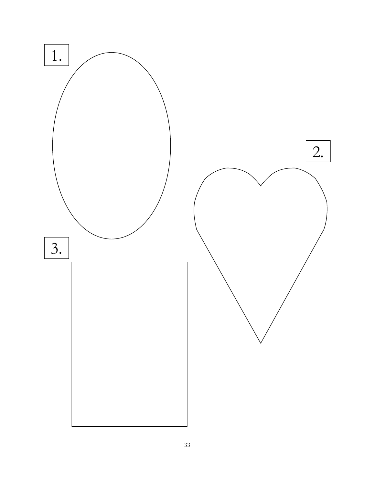